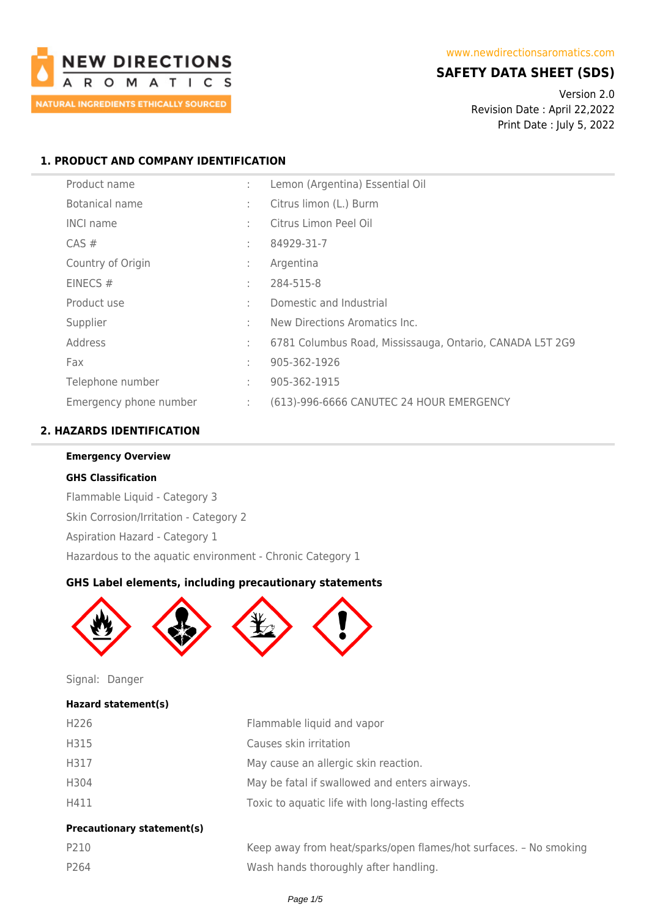

### **SAFETY DATA SHEET (SDS)**

Version 2.0 Revision Date : April 22,2022 Print Date : July 5, 2022

### **1. PRODUCT AND COMPANY IDENTIFICATION**

| Product name           | t. | Lemon (Argentina) Essential Oil                          |
|------------------------|----|----------------------------------------------------------|
| Botanical name         | ٠  | Citrus limon (L.) Burm                                   |
| <b>INCI name</b>       | ٠  | Citrus Limon Peel Oil                                    |
| $CAS \#$               | ٠  | 84929-31-7                                               |
| Country of Origin      | t. | Argentina                                                |
| EINECS $#$             | ÷  | 284-515-8                                                |
| Product use            | ٠  | Domestic and Industrial                                  |
| Supplier               | ٠  | New Directions Aromatics Inc.                            |
| Address                | t. | 6781 Columbus Road, Mississauga, Ontario, CANADA L5T 2G9 |
| Fax                    | t. | 905-362-1926                                             |
| Telephone number       | ÷  | 905-362-1915                                             |
| Emergency phone number | ÷. | (613)-996-6666 CANUTEC 24 HOUR EMERGENCY                 |

### **2. HAZARDS IDENTIFICATION**

# **Emergency Overview GHS Classification** Flammable Liquid - Category 3 Skin Corrosion/Irritation - Category 2 Aspiration Hazard - Category 1

Hazardous to the aquatic environment - Chronic Category 1

### **GHS Label elements, including precautionary statements**



Signal: Danger

## **Hazard statement(s)**

| Du               |                                                 |
|------------------|-------------------------------------------------|
| H411             | Toxic to aquatic life with long-lasting effects |
| H304             | May be fatal if swallowed and enters airways.   |
| H317             | May cause an allergic skin reaction.            |
| H315             | Causes skin irritation                          |
| H <sub>226</sub> | Flammable liquid and vapor                      |

#### **Precautionary statement(s)**

| P210 | Keep away from heat/sparks/open flames/hot surfaces. - No smoking |
|------|-------------------------------------------------------------------|
| P264 | Wash hands thoroughly after handling.                             |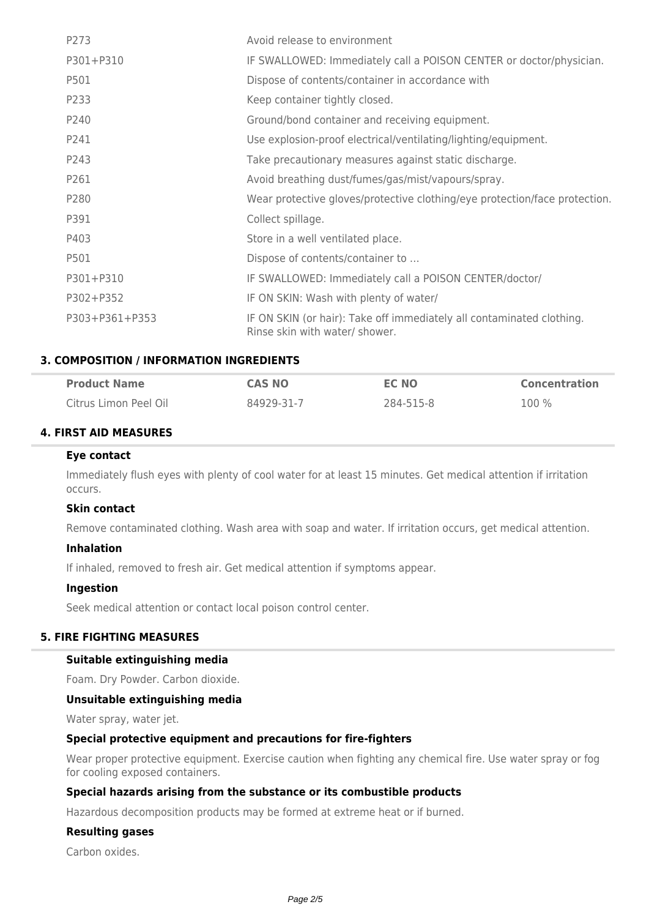| P273           | Avoid release to environment                                                                            |
|----------------|---------------------------------------------------------------------------------------------------------|
| P301+P310      | IF SWALLOWED: Immediately call a POISON CENTER or doctor/physician.                                     |
| P501           | Dispose of contents/container in accordance with                                                        |
| P233           | Keep container tightly closed.                                                                          |
| P240           | Ground/bond container and receiving equipment.                                                          |
| P241           | Use explosion-proof electrical/ventilating/lighting/equipment.                                          |
| P243           | Take precautionary measures against static discharge.                                                   |
| P261           | Avoid breathing dust/fumes/gas/mist/vapours/spray.                                                      |
| P280           | Wear protective gloves/protective clothing/eye protection/face protection.                              |
| P391           | Collect spillage.                                                                                       |
| P403           | Store in a well ventilated place.                                                                       |
| P501           | Dispose of contents/container to                                                                        |
| P301+P310      | IF SWALLOWED: Immediately call a POISON CENTER/doctor/                                                  |
| P302+P352      | IF ON SKIN: Wash with plenty of water/                                                                  |
| P303+P361+P353 | IF ON SKIN (or hair): Take off immediately all contaminated clothing.<br>Rinse skin with water/ shower. |

### **3. COMPOSITION / INFORMATION INGREDIENTS**

| <b>Product Name</b>   | <b>CAS NO</b> | EC NO     | <b>Concentration</b> |
|-----------------------|---------------|-----------|----------------------|
| Citrus Limon Peel Oil | 84929-31-7    | 284-515-8 | 100 %                |

### **4. FIRST AID MEASURES**

#### **Eye contact**

Immediately flush eyes with plenty of cool water for at least 15 minutes. Get medical attention if irritation occurs.

### **Skin contact**

Remove contaminated clothing. Wash area with soap and water. If irritation occurs, get medical attention.

### **Inhalation**

If inhaled, removed to fresh air. Get medical attention if symptoms appear.

#### **Ingestion**

Seek medical attention or contact local poison control center.

#### **5. FIRE FIGHTING MEASURES**

#### **Suitable extinguishing media**

Foam. Dry Powder. Carbon dioxide.

### **Unsuitable extinguishing media**

Water spray, water jet.

### **Special protective equipment and precautions for fire-fighters**

Wear proper protective equipment. Exercise caution when fighting any chemical fire. Use water spray or fog for cooling exposed containers.

### **Special hazards arising from the substance or its combustible products**

Hazardous decomposition products may be formed at extreme heat or if burned.

### **Resulting gases**

Carbon oxides.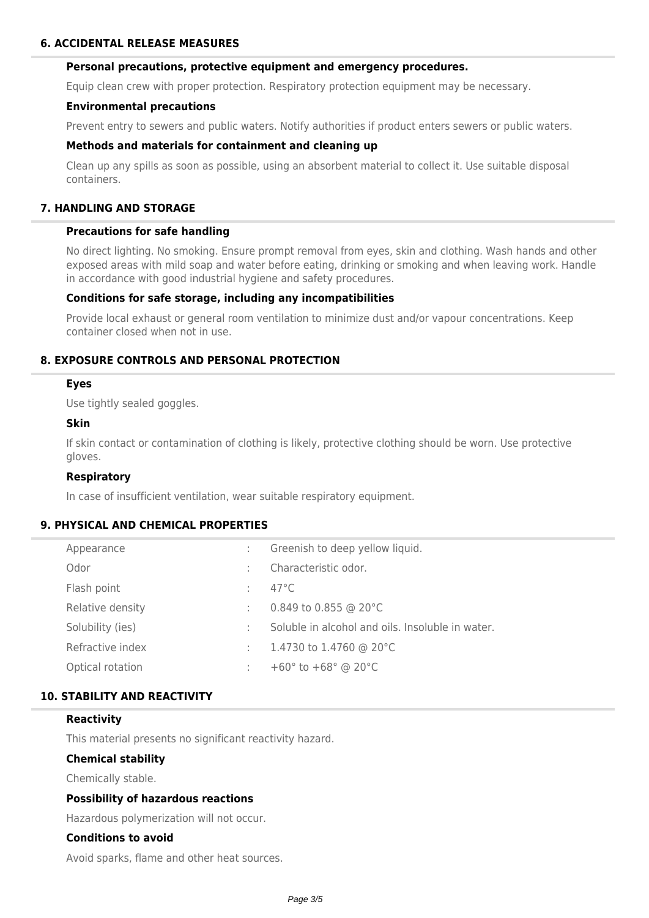#### **Personal precautions, protective equipment and emergency procedures.**

Equip clean crew with proper protection. Respiratory protection equipment may be necessary.

#### **Environmental precautions**

Prevent entry to sewers and public waters. Notify authorities if product enters sewers or public waters.

#### **Methods and materials for containment and cleaning up**

Clean up any spills as soon as possible, using an absorbent material to collect it. Use suitable disposal containers.

### **7. HANDLING AND STORAGE**

#### **Precautions for safe handling**

No direct lighting. No smoking. Ensure prompt removal from eyes, skin and clothing. Wash hands and other exposed areas with mild soap and water before eating, drinking or smoking and when leaving work. Handle in accordance with good industrial hygiene and safety procedures.

#### **Conditions for safe storage, including any incompatibilities**

Provide local exhaust or general room ventilation to minimize dust and/or vapour concentrations. Keep container closed when not in use.

### **8. EXPOSURE CONTROLS AND PERSONAL PROTECTION**

#### **Eyes**

Use tightly sealed goggles.

### **Skin**

If skin contact or contamination of clothing is likely, protective clothing should be worn. Use protective gloves.

#### **Respiratory**

In case of insufficient ventilation, wear suitable respiratory equipment.

### **9. PHYSICAL AND CHEMICAL PROPERTIES**

| Appearance       |                | Greenish to deep yellow liquid.                    |
|------------------|----------------|----------------------------------------------------|
| Odor             |                | Characteristic odor.                               |
| Flash point      | $\mathbb{R}^n$ | $47^{\circ}$ C                                     |
| Relative density | ÷              | 0.849 to 0.855 @ 20 $^{\circ}$ C                   |
| Solubility (ies) |                | Soluble in alcohol and oils. Insoluble in water.   |
| Refractive index | t in           | 1.4730 to 1.4760 @ 20°C                            |
| Optical rotation |                | +60 $^{\circ}$ to +68 $^{\circ}$ @ 20 $^{\circ}$ C |

### **10. STABILITY AND REACTIVITY**

#### **Reactivity**

This material presents no significant reactivity hazard.

#### **Chemical stability**

Chemically stable.

#### **Possibility of hazardous reactions**

Hazardous polymerization will not occur.

#### **Conditions to avoid**

Avoid sparks, flame and other heat sources.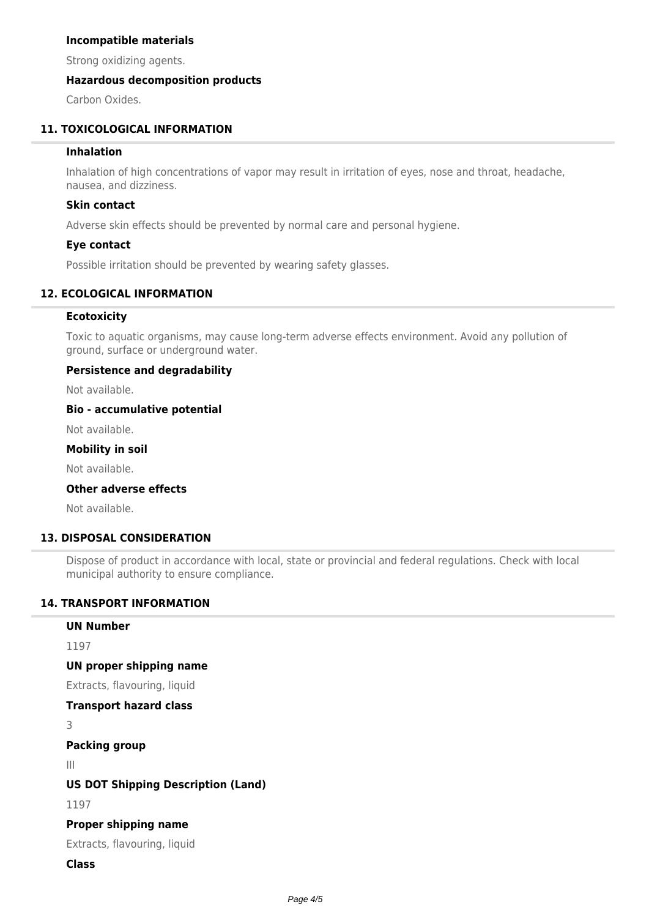#### **Incompatible materials**

Strong oxidizing agents.

### **Hazardous decomposition products**

Carbon Oxides.

### **11. TOXICOLOGICAL INFORMATION**

### **Inhalation**

Inhalation of high concentrations of vapor may result in irritation of eyes, nose and throat, headache, nausea, and dizziness.

#### **Skin contact**

Adverse skin effects should be prevented by normal care and personal hygiene.

#### **Eye contact**

Possible irritation should be prevented by wearing safety glasses.

### **12. ECOLOGICAL INFORMATION**

#### **Ecotoxicity**

Toxic to aquatic organisms, may cause long-term adverse effects environment. Avoid any pollution of ground, surface or underground water.

#### **Persistence and degradability**

Not available.

#### **Bio - accumulative potential**

Not available.

#### **Mobility in soil**

Not available.

### **Other adverse effects**

Not available.

### **13. DISPOSAL CONSIDERATION**

Dispose of product in accordance with local, state or provincial and federal regulations. Check with local municipal authority to ensure compliance.

### **14. TRANSPORT INFORMATION**

#### **UN Number**

1197

#### **UN proper shipping name**

Extracts, flavouring, liquid

#### **Transport hazard class**

3

#### **Packing group**

III

### **US DOT Shipping Description (Land)**

1197

#### **Proper shipping name**

Extracts, flavouring, liquid

### **Class**